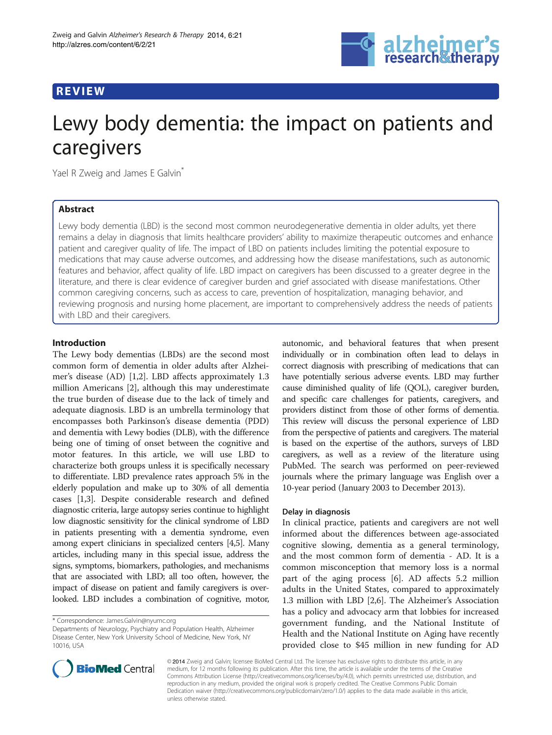# **Izheim**

## REVIEW



# Lewy body dementia: the impact on patients and caregivers

Yael R Zweig and James E Galvin<sup>®</sup>

### Abstract

Lewy body dementia (LBD) is the second most common neurodegenerative dementia in older adults, yet there remains a delay in diagnosis that limits healthcare providers' ability to maximize therapeutic outcomes and enhance patient and caregiver quality of life. The impact of LBD on patients includes limiting the potential exposure to medications that may cause adverse outcomes, and addressing how the disease manifestations, such as autonomic features and behavior, affect quality of life. LBD impact on caregivers has been discussed to a greater degree in the literature, and there is clear evidence of caregiver burden and grief associated with disease manifestations. Other common caregiving concerns, such as access to care, prevention of hospitalization, managing behavior, and reviewing prognosis and nursing home placement, are important to comprehensively address the needs of patients with LBD and their caregivers.

#### Introduction

The Lewy body dementias (LBDs) are the second most common form of dementia in older adults after Alzheimer's disease (AD) [[1](#page-5-0),[2\]](#page-5-0). LBD affects approximately 1.3 million Americans [[2\]](#page-5-0), although this may underestimate the true burden of disease due to the lack of timely and adequate diagnosis. LBD is an umbrella terminology that encompasses both Parkinson's disease dementia (PDD) and dementia with Lewy bodies (DLB), with the difference being one of timing of onset between the cognitive and motor features. In this article, we will use LBD to characterize both groups unless it is specifically necessary to differentiate. LBD prevalence rates approach 5% in the elderly population and make up to 30% of all dementia cases [\[1,3\]](#page-5-0). Despite considerable research and defined diagnostic criteria, large autopsy series continue to highlight low diagnostic sensitivity for the clinical syndrome of LBD in patients presenting with a dementia syndrome, even among expert clinicians in specialized centers [[4,5](#page-5-0)]. Many articles, including many in this special issue, address the signs, symptoms, biomarkers, pathologies, and mechanisms that are associated with LBD; all too often, however, the impact of disease on patient and family caregivers is overlooked. LBD includes a combination of cognitive, motor,

autonomic, and behavioral features that when present individually or in combination often lead to delays in correct diagnosis with prescribing of medications that can have potentially serious adverse events. LBD may further cause diminished quality of life (QOL), caregiver burden, and specific care challenges for patients, caregivers, and providers distinct from those of other forms of dementia. This review will discuss the personal experience of LBD from the perspective of patients and caregivers. The material is based on the expertise of the authors, surveys of LBD caregivers, as well as a review of the literature using PubMed. The search was performed on peer-reviewed journals where the primary language was English over a 10-year period (January 2003 to December 2013).

#### Delay in diagnosis

In clinical practice, patients and caregivers are not well informed about the differences between age-associated cognitive slowing, dementia as a general terminology, and the most common form of dementia - AD. It is a common misconception that memory loss is a normal part of the aging process [\[6\]](#page-5-0). AD affects 5.2 million adults in the United States, compared to approximately 1.3 million with LBD [\[2,6](#page-5-0)]. The Alzheimer's Association has a policy and advocacy arm that lobbies for increased government funding, and the National Institute of Health and the National Institute on Aging have recently provided close to \$45 million in new funding for AD



© 2014 Zweig and Galvin; licensee BioMed Central Ltd. The licensee has exclusive rights to distribute this article, in any medium, for 12 months following its publication. After this time, the article is available under the terms of the Creative Commons Attribution License [\(http://creativecommons.org/licenses/by/4.0\)](http://creativecommons.org/licenses/by/4.0), which permits unrestricted use, distribution, and reproduction in any medium, provided the original work is properly credited. The Creative Commons Public Domain Dedication waiver [\(http://creativecommons.org/publicdomain/zero/1.0/](http://creativecommons.org/publicdomain/zero/1.0/)) applies to the data made available in this article, unless otherwise stated.

<sup>\*</sup> Correspondence: [James.Galvin@nyumc.org](mailto:James.Galvin@nyumc.org)

Departments of Neurology, Psychiatry and Population Health, Alzheimer Disease Center, New York University School of Medicine, New York, NY 10016, USA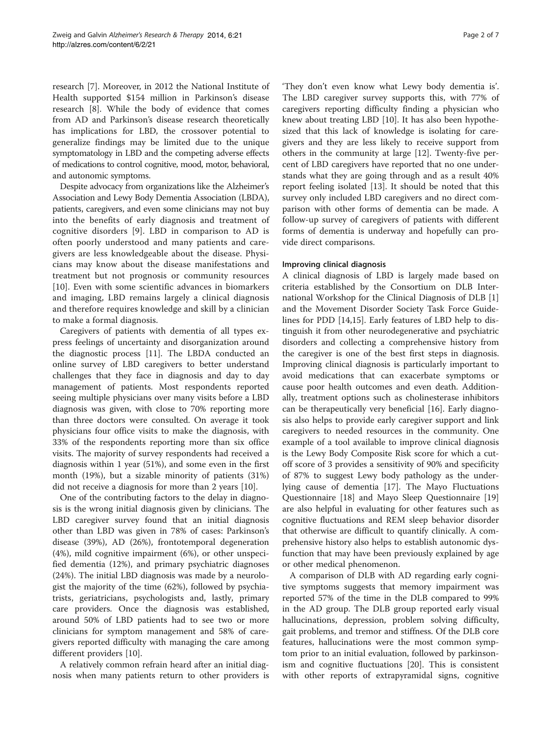research [\[7](#page-5-0)]. Moreover, in 2012 the National Institute of Health supported \$154 million in Parkinson's disease research [\[8](#page-5-0)]. While the body of evidence that comes from AD and Parkinson's disease research theoretically has implications for LBD, the crossover potential to generalize findings may be limited due to the unique symptomatology in LBD and the competing adverse effects of medications to control cognitive, mood, motor, behavioral, and autonomic symptoms.

Despite advocacy from organizations like the Alzheimer's Association and Lewy Body Dementia Association (LBDA), patients, caregivers, and even some clinicians may not buy into the benefits of early diagnosis and treatment of cognitive disorders [[9\]](#page-5-0). LBD in comparison to AD is often poorly understood and many patients and caregivers are less knowledgeable about the disease. Physicians may know about the disease manifestations and treatment but not prognosis or community resources [[10\]](#page-5-0). Even with some scientific advances in biomarkers and imaging, LBD remains largely a clinical diagnosis and therefore requires knowledge and skill by a clinician to make a formal diagnosis.

Caregivers of patients with dementia of all types express feelings of uncertainty and disorganization around the diagnostic process [\[11](#page-5-0)]. The LBDA conducted an online survey of LBD caregivers to better understand challenges that they face in diagnosis and day to day management of patients. Most respondents reported seeing multiple physicians over many visits before a LBD diagnosis was given, with close to 70% reporting more than three doctors were consulted. On average it took physicians four office visits to make the diagnosis, with 33% of the respondents reporting more than six office visits. The majority of survey respondents had received a diagnosis within 1 year (51%), and some even in the first month (19%), but a sizable minority of patients (31%) did not receive a diagnosis for more than 2 years [\[10](#page-5-0)].

One of the contributing factors to the delay in diagnosis is the wrong initial diagnosis given by clinicians. The LBD caregiver survey found that an initial diagnosis other than LBD was given in 78% of cases: Parkinson's disease (39%), AD (26%), frontotemporal degeneration (4%), mild cognitive impairment (6%), or other unspecified dementia (12%), and primary psychiatric diagnoses (24%). The initial LBD diagnosis was made by a neurologist the majority of the time (62%), followed by psychiatrists, geriatricians, psychologists and, lastly, primary care providers. Once the diagnosis was established, around 50% of LBD patients had to see two or more clinicians for symptom management and 58% of caregivers reported difficulty with managing the care among different providers [\[10](#page-5-0)].

A relatively common refrain heard after an initial diagnosis when many patients return to other providers is

'They don't even know what Lewy body dementia is'. The LBD caregiver survey supports this, with 77% of caregivers reporting difficulty finding a physician who knew about treating LBD [[10](#page-5-0)]. It has also been hypothesized that this lack of knowledge is isolating for caregivers and they are less likely to receive support from others in the community at large [[12](#page-5-0)]. Twenty-five percent of LBD caregivers have reported that no one understands what they are going through and as a result 40% report feeling isolated [[13\]](#page-6-0). It should be noted that this survey only included LBD caregivers and no direct comparison with other forms of dementia can be made. A follow-up survey of caregivers of patients with different forms of dementia is underway and hopefully can provide direct comparisons.

#### Improving clinical diagnosis

A clinical diagnosis of LBD is largely made based on criteria established by the Consortium on DLB International Workshop for the Clinical Diagnosis of DLB [\[1](#page-5-0)] and the Movement Disorder Society Task Force Guidelines for PDD [\[14,15\]](#page-6-0). Early features of LBD help to distinguish it from other neurodegenerative and psychiatric disorders and collecting a comprehensive history from the caregiver is one of the best first steps in diagnosis. Improving clinical diagnosis is particularly important to avoid medications that can exacerbate symptoms or cause poor health outcomes and even death. Additionally, treatment options such as cholinesterase inhibitors can be therapeutically very beneficial [[16\]](#page-6-0). Early diagnosis also helps to provide early caregiver support and link caregivers to needed resources in the community. One example of a tool available to improve clinical diagnosis is the Lewy Body Composite Risk score for which a cutoff score of 3 provides a sensitivity of 90% and specificity of 87% to suggest Lewy body pathology as the underlying cause of dementia [\[17](#page-6-0)]. The Mayo Fluctuations Questionnaire [\[18\]](#page-6-0) and Mayo Sleep Questionnaire [[19](#page-6-0)] are also helpful in evaluating for other features such as cognitive fluctuations and REM sleep behavior disorder that otherwise are difficult to quantify clinically. A comprehensive history also helps to establish autonomic dysfunction that may have been previously explained by age or other medical phenomenon.

A comparison of DLB with AD regarding early cognitive symptoms suggests that memory impairment was reported 57% of the time in the DLB compared to 99% in the AD group. The DLB group reported early visual hallucinations, depression, problem solving difficulty, gait problems, and tremor and stiffness. Of the DLB core features, hallucinations were the most common symptom prior to an initial evaluation, followed by parkinsonism and cognitive fluctuations [[20](#page-6-0)]. This is consistent with other reports of extrapyramidal signs, cognitive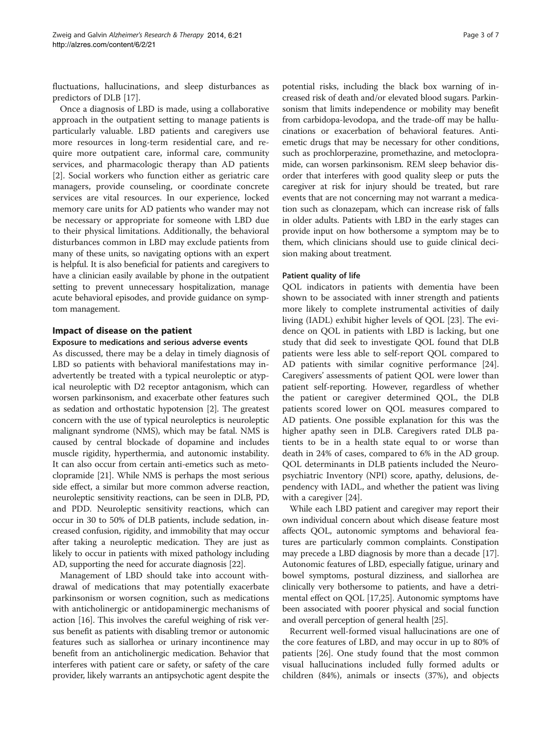fluctuations, hallucinations, and sleep disturbances as predictors of DLB [\[17](#page-6-0)].

Once a diagnosis of LBD is made, using a collaborative approach in the outpatient setting to manage patients is particularly valuable. LBD patients and caregivers use more resources in long-term residential care, and require more outpatient care, informal care, community services, and pharmacologic therapy than AD patients [[2\]](#page-5-0). Social workers who function either as geriatric care managers, provide counseling, or coordinate concrete services are vital resources. In our experience, locked memory care units for AD patients who wander may not be necessary or appropriate for someone with LBD due to their physical limitations. Additionally, the behavioral disturbances common in LBD may exclude patients from many of these units, so navigating options with an expert is helpful. It is also beneficial for patients and caregivers to have a clinician easily available by phone in the outpatient setting to prevent unnecessary hospitalization, manage acute behavioral episodes, and provide guidance on symptom management.

#### Impact of disease on the patient

#### Exposure to medications and serious adverse events

As discussed, there may be a delay in timely diagnosis of LBD so patients with behavioral manifestations may inadvertently be treated with a typical neuroleptic or atypical neuroleptic with D2 receptor antagonism, which can worsen parkinsonism, and exacerbate other features such as sedation and orthostatic hypotension [\[2](#page-5-0)]. The greatest concern with the use of typical neuroleptics is neuroleptic malignant syndrome (NMS), which may be fatal. NMS is caused by central blockade of dopamine and includes muscle rigidity, hyperthermia, and autonomic instability. It can also occur from certain anti-emetics such as metoclopramide [\[21\]](#page-6-0). While NMS is perhaps the most serious side effect, a similar but more common adverse reaction, neuroleptic sensitivity reactions, can be seen in DLB, PD, and PDD. Neuroleptic sensitivity reactions, which can occur in 30 to 50% of DLB patients, include sedation, increased confusion, rigidity, and immobility that may occur after taking a neuroleptic medication. They are just as likely to occur in patients with mixed pathology including AD, supporting the need for accurate diagnosis [\[22\]](#page-6-0).

Management of LBD should take into account withdrawal of medications that may potentially exacerbate parkinsonism or worsen cognition, such as medications with anticholinergic or antidopaminergic mechanisms of action [\[16](#page-6-0)]. This involves the careful weighing of risk versus benefit as patients with disabling tremor or autonomic features such as siallorhea or urinary incontinence may benefit from an anticholinergic medication. Behavior that interferes with patient care or safety, or safety of the care provider, likely warrants an antipsychotic agent despite the

potential risks, including the black box warning of increased risk of death and/or elevated blood sugars. Parkinsonism that limits independence or mobility may benefit from carbidopa-levodopa, and the trade-off may be hallucinations or exacerbation of behavioral features. Antiemetic drugs that may be necessary for other conditions, such as prochlorperazine, promethazine, and metoclopramide, can worsen parkinsonism. REM sleep behavior disorder that interferes with good quality sleep or puts the caregiver at risk for injury should be treated, but rare events that are not concerning may not warrant a medication such as clonazepam, which can increase risk of falls in older adults. Patients with LBD in the early stages can provide input on how bothersome a symptom may be to them, which clinicians should use to guide clinical decision making about treatment.

#### Patient quality of life

QOL indicators in patients with dementia have been shown to be associated with inner strength and patients more likely to complete instrumental activities of daily living (IADL) exhibit higher levels of QOL [[23\]](#page-6-0). The evidence on QOL in patients with LBD is lacking, but one study that did seek to investigate QOL found that DLB patients were less able to self-report QOL compared to AD patients with similar cognitive performance [\[24](#page-6-0)]. Caregivers' assessments of patient QOL were lower than patient self-reporting. However, regardless of whether the patient or caregiver determined QOL, the DLB patients scored lower on QOL measures compared to AD patients. One possible explanation for this was the higher apathy seen in DLB. Caregivers rated DLB patients to be in a health state equal to or worse than death in 24% of cases, compared to 6% in the AD group. QOL determinants in DLB patients included the Neuropsychiatric Inventory (NPI) score, apathy, delusions, dependency with IADL, and whether the patient was living with a caregiver [[24\]](#page-6-0).

While each LBD patient and caregiver may report their own individual concern about which disease feature most affects QOL, autonomic symptoms and behavioral features are particularly common complaints. Constipation may precede a LBD diagnosis by more than a decade [[17](#page-6-0)]. Autonomic features of LBD, especially fatigue, urinary and bowel symptoms, postural dizziness, and siallorhea are clinically very bothersome to patients, and have a detrimental effect on QOL [\[17,25](#page-6-0)]. Autonomic symptoms have been associated with poorer physical and social function and overall perception of general health [[25](#page-6-0)].

Recurrent well-formed visual hallucinations are one of the core features of LBD, and may occur in up to 80% of patients [\[26](#page-6-0)]. One study found that the most common visual hallucinations included fully formed adults or children (84%), animals or insects (37%), and objects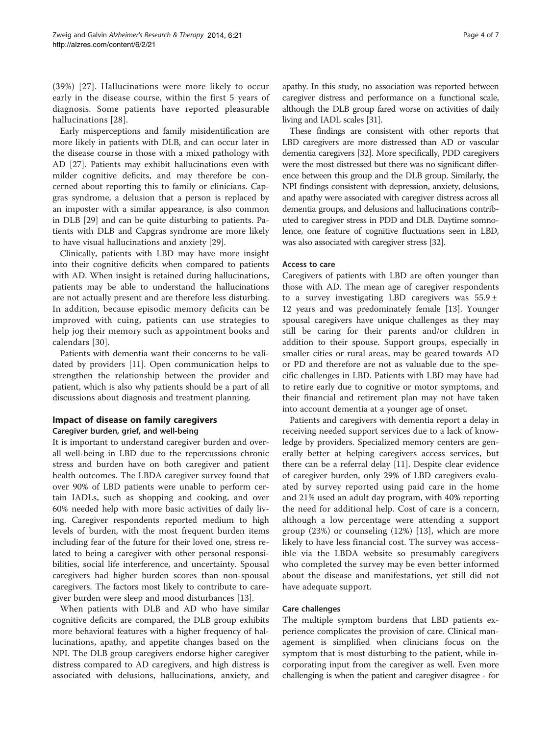(39%) [[27\]](#page-6-0). Hallucinations were more likely to occur early in the disease course, within the first 5 years of diagnosis. Some patients have reported pleasurable hallucinations [\[28](#page-6-0)].

Early misperceptions and family misidentification are more likely in patients with DLB, and can occur later in the disease course in those with a mixed pathology with AD [\[27](#page-6-0)]. Patients may exhibit hallucinations even with milder cognitive deficits, and may therefore be concerned about reporting this to family or clinicians. Capgras syndrome, a delusion that a person is replaced by an imposter with a similar appearance, is also common in DLB [\[29\]](#page-6-0) and can be quite disturbing to patients. Patients with DLB and Capgras syndrome are more likely to have visual hallucinations and anxiety [[29](#page-6-0)].

Clinically, patients with LBD may have more insight into their cognitive deficits when compared to patients with AD. When insight is retained during hallucinations, patients may be able to understand the hallucinations are not actually present and are therefore less disturbing. In addition, because episodic memory deficits can be improved with cuing, patients can use strategies to help jog their memory such as appointment books and calendars [[30\]](#page-6-0).

Patients with dementia want their concerns to be validated by providers [\[11](#page-5-0)]. Open communication helps to strengthen the relationship between the provider and patient, which is also why patients should be a part of all discussions about diagnosis and treatment planning.

#### Impact of disease on family caregivers Caregiver burden, grief, and well-being

It is important to understand caregiver burden and overall well-being in LBD due to the repercussions chronic stress and burden have on both caregiver and patient health outcomes. The LBDA caregiver survey found that over 90% of LBD patients were unable to perform certain IADLs, such as shopping and cooking, and over 60% needed help with more basic activities of daily living. Caregiver respondents reported medium to high levels of burden, with the most frequent burden items including fear of the future for their loved one, stress related to being a caregiver with other personal responsibilities, social life interference, and uncertainty. Spousal caregivers had higher burden scores than non-spousal caregivers. The factors most likely to contribute to caregiver burden were sleep and mood disturbances [[13\]](#page-6-0).

When patients with DLB and AD who have similar cognitive deficits are compared, the DLB group exhibits more behavioral features with a higher frequency of hallucinations, apathy, and appetite changes based on the NPI. The DLB group caregivers endorse higher caregiver distress compared to AD caregivers, and high distress is associated with delusions, hallucinations, anxiety, and

apathy. In this study, no association was reported between caregiver distress and performance on a functional scale, although the DLB group fared worse on activities of daily living and IADL scales [\[31\]](#page-6-0).

These findings are consistent with other reports that LBD caregivers are more distressed than AD or vascular dementia caregivers [[32\]](#page-6-0). More specifically, PDD caregivers were the most distressed but there was no significant difference between this group and the DLB group. Similarly, the NPI findings consistent with depression, anxiety, delusions, and apathy were associated with caregiver distress across all dementia groups, and delusions and hallucinations contributed to caregiver stress in PDD and DLB. Daytime somnolence, one feature of cognitive fluctuations seen in LBD, was also associated with caregiver stress [\[32\]](#page-6-0).

#### Access to care

Caregivers of patients with LBD are often younger than those with AD. The mean age of caregiver respondents to a survey investigating LBD caregivers was  $55.9 \pm$ 12 years and was predominately female [[13\]](#page-6-0). Younger spousal caregivers have unique challenges as they may still be caring for their parents and/or children in addition to their spouse. Support groups, especially in smaller cities or rural areas, may be geared towards AD or PD and therefore are not as valuable due to the specific challenges in LBD. Patients with LBD may have had to retire early due to cognitive or motor symptoms, and their financial and retirement plan may not have taken into account dementia at a younger age of onset.

Patients and caregivers with dementia report a delay in receiving needed support services due to a lack of knowledge by providers. Specialized memory centers are generally better at helping caregivers access services, but there can be a referral delay [[11\]](#page-5-0). Despite clear evidence of caregiver burden, only 29% of LBD caregivers evaluated by survey reported using paid care in the home and 21% used an adult day program, with 40% reporting the need for additional help. Cost of care is a concern, although a low percentage were attending a support group (23%) or counseling (12%) [\[13](#page-6-0)], which are more likely to have less financial cost. The survey was accessible via the LBDA website so presumably caregivers who completed the survey may be even better informed about the disease and manifestations, yet still did not have adequate support.

#### Care challenges

The multiple symptom burdens that LBD patients experience complicates the provision of care. Clinical management is simplified when clinicians focus on the symptom that is most disturbing to the patient, while incorporating input from the caregiver as well. Even more challenging is when the patient and caregiver disagree - for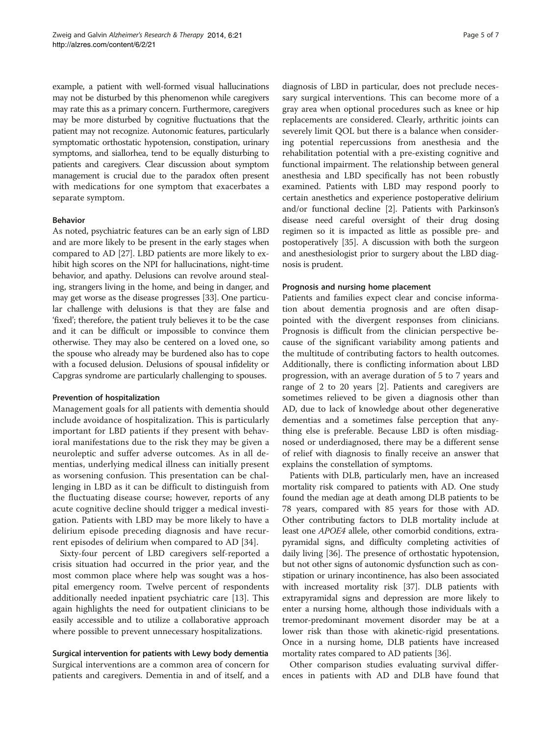example, a patient with well-formed visual hallucinations may not be disturbed by this phenomenon while caregivers may rate this as a primary concern. Furthermore, caregivers may be more disturbed by cognitive fluctuations that the patient may not recognize. Autonomic features, particularly symptomatic orthostatic hypotension, constipation, urinary symptoms, and siallorhea, tend to be equally disturbing to patients and caregivers. Clear discussion about symptom management is crucial due to the paradox often present with medications for one symptom that exacerbates a separate symptom.

#### Behavior

As noted, psychiatric features can be an early sign of LBD and are more likely to be present in the early stages when compared to AD [[27](#page-6-0)]. LBD patients are more likely to exhibit high scores on the NPI for hallucinations, night-time behavior, and apathy. Delusions can revolve around stealing, strangers living in the home, and being in danger, and may get worse as the disease progresses [\[33](#page-6-0)]. One particular challenge with delusions is that they are false and 'fixed'; therefore, the patient truly believes it to be the case and it can be difficult or impossible to convince them otherwise. They may also be centered on a loved one, so the spouse who already may be burdened also has to cope with a focused delusion. Delusions of spousal infidelity or Capgras syndrome are particularly challenging to spouses.

#### Prevention of hospitalization

Management goals for all patients with dementia should include avoidance of hospitalization. This is particularly important for LBD patients if they present with behavioral manifestations due to the risk they may be given a neuroleptic and suffer adverse outcomes. As in all dementias, underlying medical illness can initially present as worsening confusion. This presentation can be challenging in LBD as it can be difficult to distinguish from the fluctuating disease course; however, reports of any acute cognitive decline should trigger a medical investigation. Patients with LBD may be more likely to have a delirium episode preceding diagnosis and have recurrent episodes of delirium when compared to AD [\[34](#page-6-0)].

Sixty-four percent of LBD caregivers self-reported a crisis situation had occurred in the prior year, and the most common place where help was sought was a hospital emergency room. Twelve percent of respondents additionally needed inpatient psychiatric care [\[13](#page-6-0)]. This again highlights the need for outpatient clinicians to be easily accessible and to utilize a collaborative approach where possible to prevent unnecessary hospitalizations.

#### Surgical intervention for patients with Lewy body dementia

Surgical interventions are a common area of concern for patients and caregivers. Dementia in and of itself, and a

diagnosis of LBD in particular, does not preclude necessary surgical interventions. This can become more of a gray area when optional procedures such as knee or hip replacements are considered. Clearly, arthritic joints can severely limit QOL but there is a balance when considering potential repercussions from anesthesia and the rehabilitation potential with a pre-existing cognitive and functional impairment. The relationship between general anesthesia and LBD specifically has not been robustly examined. Patients with LBD may respond poorly to certain anesthetics and experience postoperative delirium and/or functional decline [[2\]](#page-5-0). Patients with Parkinson's disease need careful oversight of their drug dosing regimen so it is impacted as little as possible pre- and postoperatively [[35\]](#page-6-0). A discussion with both the surgeon and anesthesiologist prior to surgery about the LBD diagnosis is prudent.

#### Prognosis and nursing home placement

Patients and families expect clear and concise information about dementia prognosis and are often disappointed with the divergent responses from clinicians. Prognosis is difficult from the clinician perspective because of the significant variability among patients and the multitude of contributing factors to health outcomes. Additionally, there is conflicting information about LBD progression, with an average duration of 5 to 7 years and range of 2 to 20 years [[2](#page-5-0)]. Patients and caregivers are sometimes relieved to be given a diagnosis other than AD, due to lack of knowledge about other degenerative dementias and a sometimes false perception that anything else is preferable. Because LBD is often misdiagnosed or underdiagnosed, there may be a different sense of relief with diagnosis to finally receive an answer that explains the constellation of symptoms.

Patients with DLB, particularly men, have an increased mortality risk compared to patients with AD. One study found the median age at death among DLB patients to be 78 years, compared with 85 years for those with AD. Other contributing factors to DLB mortality include at least one APOE4 allele, other comorbid conditions, extrapyramidal signs, and difficulty completing activities of daily living [[36](#page-6-0)]. The presence of orthostatic hypotension, but not other signs of autonomic dysfunction such as constipation or urinary incontinence, has also been associated with increased mortality risk [\[37\]](#page-6-0). DLB patients with extrapyramidal signs and depression are more likely to enter a nursing home, although those individuals with a tremor-predominant movement disorder may be at a lower risk than those with akinetic-rigid presentations. Once in a nursing home, DLB patients have increased mortality rates compared to AD patients [\[36\]](#page-6-0).

Other comparison studies evaluating survival differences in patients with AD and DLB have found that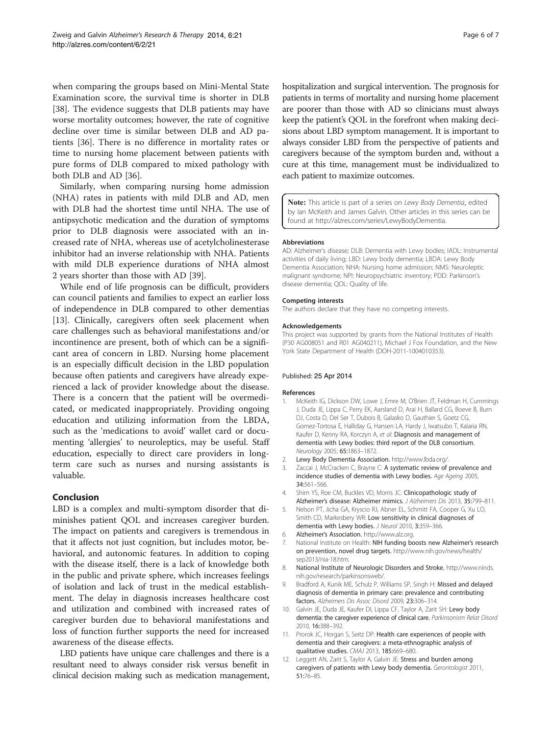<span id="page-5-0"></span>when comparing the groups based on Mini-Mental State Examination score, the survival time is shorter in DLB [[38\]](#page-6-0). The evidence suggests that DLB patients may have worse mortality outcomes; however, the rate of cognitive decline over time is similar between DLB and AD patients [[36\]](#page-6-0). There is no difference in mortality rates or time to nursing home placement between patients with pure forms of DLB compared to mixed pathology with both DLB and AD [\[36\]](#page-6-0).

Similarly, when comparing nursing home admission (NHA) rates in patients with mild DLB and AD, men with DLB had the shortest time until NHA. The use of antipsychotic medication and the duration of symptoms prior to DLB diagnosis were associated with an increased rate of NHA, whereas use of acetylcholinesterase inhibitor had an inverse relationship with NHA. Patients with mild DLB experience durations of NHA almost 2 years shorter than those with AD [\[39](#page-6-0)].

While end of life prognosis can be difficult, providers can council patients and families to expect an earlier loss of independence in DLB compared to other dementias [[13\]](#page-6-0). Clinically, caregivers often seek placement when care challenges such as behavioral manifestations and/or incontinence are present, both of which can be a significant area of concern in LBD. Nursing home placement is an especially difficult decision in the LBD population because often patients and caregivers have already experienced a lack of provider knowledge about the disease. There is a concern that the patient will be overmedicated, or medicated inappropriately. Providing ongoing education and utilizing information from the LBDA, such as the 'medications to avoid' wallet card or documenting 'allergies' to neuroleptics, may be useful. Staff education, especially to direct care providers in longterm care such as nurses and nursing assistants is valuable.

#### Conclusion

LBD is a complex and multi-symptom disorder that diminishes patient QOL and increases caregiver burden. The impact on patients and caregivers is tremendous in that it affects not just cognition, but includes motor, behavioral, and autonomic features. In addition to coping with the disease itself, there is a lack of knowledge both in the public and private sphere, which increases feelings of isolation and lack of trust in the medical establishment. The delay in diagnosis increases healthcare cost and utilization and combined with increased rates of caregiver burden due to behavioral manifestations and loss of function further supports the need for increased awareness of the disease effects.

LBD patients have unique care challenges and there is a resultant need to always consider risk versus benefit in clinical decision making such as medication management, hospitalization and surgical intervention. The prognosis for patients in terms of mortality and nursing home placement are poorer than those with AD so clinicians must always keep the patient's QOL in the forefront when making decisions about LBD symptom management. It is important to always consider LBD from the perspective of patients and caregivers because of the symptom burden and, without a cure at this time, management must be individualized to each patient to maximize outcomes.

Note: This article is part of a series on Lewy Body Dementia, edited by Ian McKeith and James Galvin. Other articles in this series can be found at<http://alzres.com/series/LewyBodyDementia>.

#### Abbreviations

AD: Alzheimer's disease; DLB: Dementia with Lewy bodies; IADL: Instrumental activities of daily living; LBD: Lewy body dementia; LBDA: Lewy Body Dementia Association; NHA: Nursing home admission; NMS: Neuroleptic malignant syndrome; NPI: Neuropsychiatric inventory; PDD: Parkinson's disease dementia; QOL: Quality of life.

#### Competing interests

The authors declare that they have no competing interests.

#### Acknowledgements

This project was supported by grants from the National Institutes of Health (P30 AG008051 and R01 AG040211), Michael J Fox Foundation, and the New York State Department of Health (DOH-2011-1004010353).

#### Published: 25 Apr 2014

#### References

- McKeith IG, Dickson DW, Lowe J, Emre M, O'Brien JT, Feldman H, Cummings J, Duda JE, Lippa C, Perry EK, Aarsland D, Arai H, Ballard CG, Boeve B, Burn DJ, Costa D, Del Ser T, Dubois B, Galasko D, Gauthier S, Goetz CG, Gomez-Tortosa E, Halliday G, Hansen LA, Hardy J, Iwatsubo T, Kalaria RN, Kaufer D, Kenny RA, Korczyn A, et al: Diagnosis and management of dementia with Lewy bodies: third report of the DLB consortium. Neurology 2005, 65:1863–1872.
- 2. Lewy Body Dementia Association. <http://www.lbda.org/>.
- 3. Zaccai J, McCracken C, Brayne C: A systematic review of prevalence and incidence studies of dementia with Lewy bodies. Age Ageing 2005, 34:561–566.
- 4. Shim YS, Roe CM, Buckles VD, Morris JC: Clinicopathologic study of Alzheimer's disease: Alzheimer mimics. J Alzheimers Dis 2013, 35:799–811.
- 5. Nelson PT, Jicha GA, Kryscio RJ, Abner EL, Schmitt FA, Cooper G, Xu LO, Smith CD, Markesbery WR: Low sensitivity in clinical diagnoses of dementia with Lewy bodies. J Neurol 2010, 3:359-366.
- 6. Alzheimer's Association. [http://www.alz.org.](http://www.alz.org/)
- National Institute on Health: NIH funding boosts new Alzheimer's research on prevention, novel drug targets. [http://www.nih.gov/news/health/](http://www.nih.gov/news/health/sep2013/nia-18.htm) [sep2013/nia-18.htm.](http://www.nih.gov/news/health/sep2013/nia-18.htm)
- 8. National Institute of Neurologic Disorders and Stroke. [http://www.ninds.](http://www.ninds.nih.gov/research/parkinsonsweb/) [nih.gov/research/parkinsonsweb/](http://www.ninds.nih.gov/research/parkinsonsweb/).
- 9. Bradford A, Kunik ME, Schulz P, Williams SP, Singh H: Missed and delayed diagnosis of dementia in primary care: prevalence and contributing factors. Alzheimers Dis Assoc Disord 2009, 23:306–314.
- 10. Galvin JE, Duda JE, Kaufer DI, Lippa CF, Taylor A, Zarit SH: Lewy body dementia: the caregiver experience of clinical care. Parkinsonism Relat Disord 2010, 16:388–392.
- 11. Prorok JC, Horgan S, Seitz DP: Health care experiences of people with dementia and their caregivers: a meta-ethnographic analysis of qualitative studies. CMAJ 2013, 185:669–680.
- 12. Leggett AN, Zarit S, Taylor A, Galvin JE: Stress and burden among caregivers of patients with Lewy body dementia. Gerontologist 2011, 51:76–85.